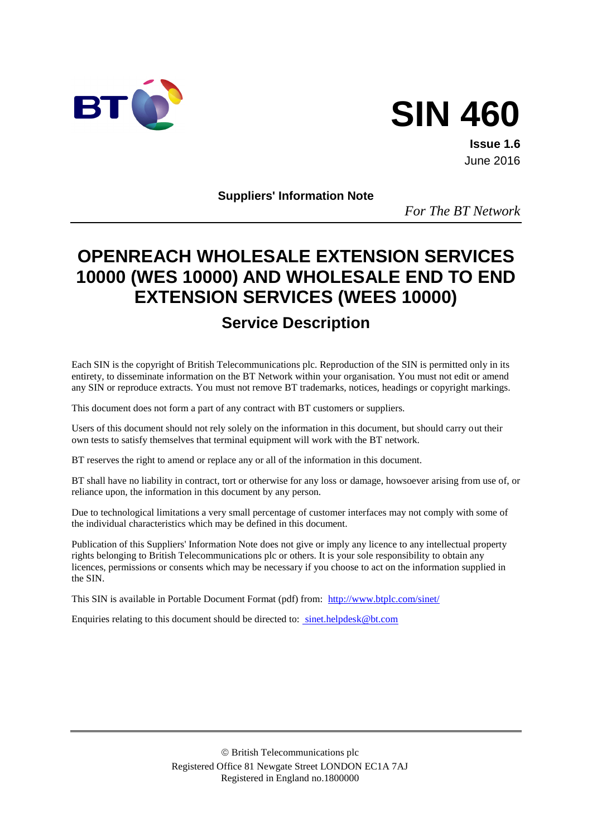



**Issue 1.6** June 2016

**Suppliers' Information Note**

*For The BT Network*

# **OPENREACH WHOLESALE EXTENSION SERVICES 10000 (WES 10000) AND WHOLESALE END TO END EXTENSION SERVICES (WEES 10000)**

# **Service Description**

Each SIN is the copyright of British Telecommunications plc. Reproduction of the SIN is permitted only in its entirety, to disseminate information on the BT Network within your organisation. You must not edit or amend any SIN or reproduce extracts. You must not remove BT trademarks, notices, headings or copyright markings.

This document does not form a part of any contract with BT customers or suppliers.

Users of this document should not rely solely on the information in this document, but should carry out their own tests to satisfy themselves that terminal equipment will work with the BT network.

BT reserves the right to amend or replace any or all of the information in this document.

BT shall have no liability in contract, tort or otherwise for any loss or damage, howsoever arising from use of, or reliance upon, the information in this document by any person.

Due to technological limitations a very small percentage of customer interfaces may not comply with some of the individual characteristics which may be defined in this document.

Publication of this Suppliers' Information Note does not give or imply any licence to any intellectual property rights belonging to British Telecommunications plc or others. It is your sole responsibility to obtain any licences, permissions or consents which may be necessary if you choose to act on the information supplied in the SIN.

This SIN is available in Portable Document Format (pdf) from: <http://www.btplc.com/sinet/>

Enquiries relating to this document should be directed to: [sinet.helpdesk@bt.com](mailto:sinet.helpdesk@bt.com)

 British Telecommunications plc Registered Office 81 Newgate Street LONDON EC1A 7AJ Registered in England no.1800000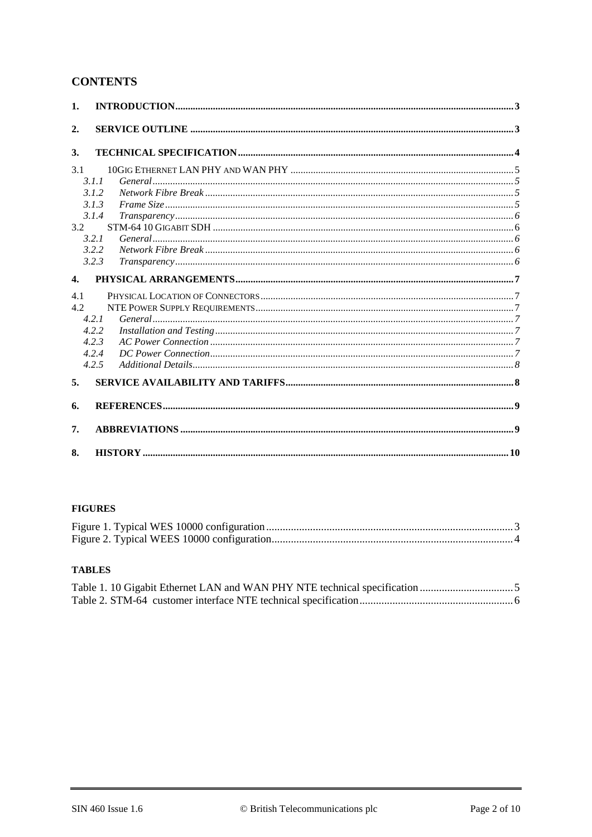## **CONTENTS**

| 1.                 |                                                                                                                                                                                                                                                                                                                                                                                       |  |
|--------------------|---------------------------------------------------------------------------------------------------------------------------------------------------------------------------------------------------------------------------------------------------------------------------------------------------------------------------------------------------------------------------------------|--|
| 2.                 |                                                                                                                                                                                                                                                                                                                                                                                       |  |
|                    |                                                                                                                                                                                                                                                                                                                                                                                       |  |
| 3.                 |                                                                                                                                                                                                                                                                                                                                                                                       |  |
| 3.1                |                                                                                                                                                                                                                                                                                                                                                                                       |  |
|                    | 3.1.1                                                                                                                                                                                                                                                                                                                                                                                 |  |
|                    | ${\it Network~Fibre~Break.}.\hspace*{2.5mm}.\hspace*{2.5mm}.\hspace*{2.5mm}.\hspace*{2.5mm}.\hspace*{2.5mm}.\hspace*{2.5mm}.\hspace*{2.5mm}.\hspace*{2.5mm}.\hspace*{2.5mm}.\hspace*{2.5mm}.\hspace*{2.5mm}.\hspace*{2.5mm}.\hspace*{2.5mm}.\hspace*{2.5mm}.\hspace*{2.5mm}.\hspace*{2.5mm}.\hspace*{2.5mm}.\hspace*{2.5mm}.\hspace*{2.5mm}.\hspace*{2.5mm}.\hspace*{2.5mm}$<br>3.1.2 |  |
|                    | 3.1.3                                                                                                                                                                                                                                                                                                                                                                                 |  |
|                    | 3.1.4                                                                                                                                                                                                                                                                                                                                                                                 |  |
| 3.2                |                                                                                                                                                                                                                                                                                                                                                                                       |  |
|                    | 3.2.1                                                                                                                                                                                                                                                                                                                                                                                 |  |
|                    | 3.2.2                                                                                                                                                                                                                                                                                                                                                                                 |  |
|                    | 3.2.3                                                                                                                                                                                                                                                                                                                                                                                 |  |
| $\boldsymbol{4}$ . |                                                                                                                                                                                                                                                                                                                                                                                       |  |
| 4.1                |                                                                                                                                                                                                                                                                                                                                                                                       |  |
| 4.2                |                                                                                                                                                                                                                                                                                                                                                                                       |  |
|                    | 4.2.1                                                                                                                                                                                                                                                                                                                                                                                 |  |
|                    | 4.2.2                                                                                                                                                                                                                                                                                                                                                                                 |  |
|                    | 4.2.3                                                                                                                                                                                                                                                                                                                                                                                 |  |
|                    | 4.2.4                                                                                                                                                                                                                                                                                                                                                                                 |  |
|                    | 4.2.5                                                                                                                                                                                                                                                                                                                                                                                 |  |
| 5.                 |                                                                                                                                                                                                                                                                                                                                                                                       |  |
| 6.                 |                                                                                                                                                                                                                                                                                                                                                                                       |  |
| 7.                 |                                                                                                                                                                                                                                                                                                                                                                                       |  |
|                    |                                                                                                                                                                                                                                                                                                                                                                                       |  |
| 8.                 |                                                                                                                                                                                                                                                                                                                                                                                       |  |

#### **FIGURES**

## **TABLES**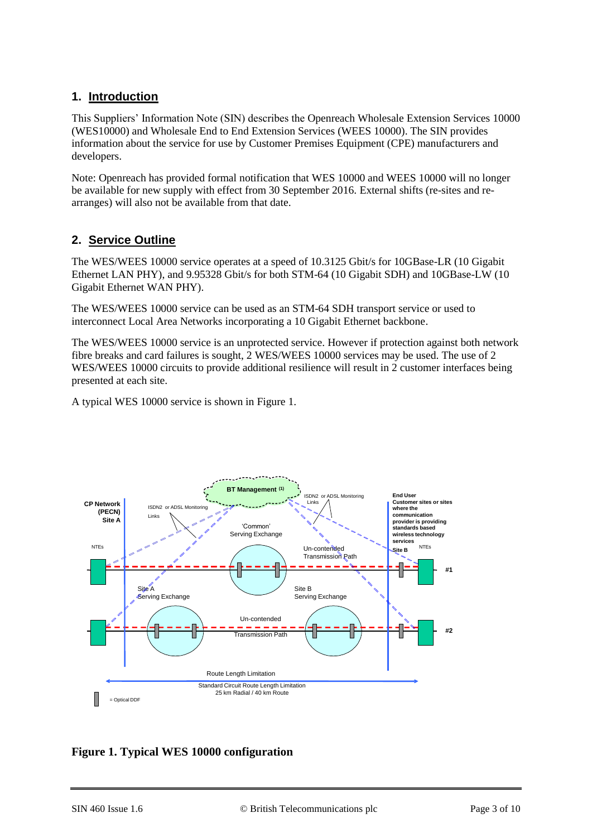# **1. Introduction**

This Suppliers' Information Note (SIN) describes the Openreach Wholesale Extension Services 10000 (WES10000) and Wholesale End to End Extension Services (WEES 10000). The SIN provides information about the service for use by Customer Premises Equipment (CPE) manufacturers and developers.

Note: Openreach has provided formal notification that WES 10000 and WEES 10000 will no longer be available for new supply with effect from 30 September 2016. External shifts (re-sites and rearranges) will also not be available from that date.

# **2. Service Outline**

The WES/WEES 10000 service operates at a speed of 10.3125 Gbit/s for 10GBase-LR (10 Gigabit Ethernet LAN PHY), and 9.95328 Gbit/s for both STM-64 (10 Gigabit SDH) and 10GBase-LW (10 Gigabit Ethernet WAN PHY).

The WES/WEES 10000 service can be used as an STM-64 SDH transport service or used to interconnect Local Area Networks incorporating a 10 Gigabit Ethernet backbone.

The WES/WEES 10000 service is an unprotected service. However if protection against both network fibre breaks and card failures is sought, 2 WES/WEES 10000 services may be used. The use of 2 WES/WEES 10000 circuits to provide additional resilience will result in 2 customer interfaces being presented at each site.

A typical WES 10000 service is shown in [Figure 1.](#page-2-0)



## <span id="page-2-0"></span>**Figure 1. Typical WES 10000 configuration**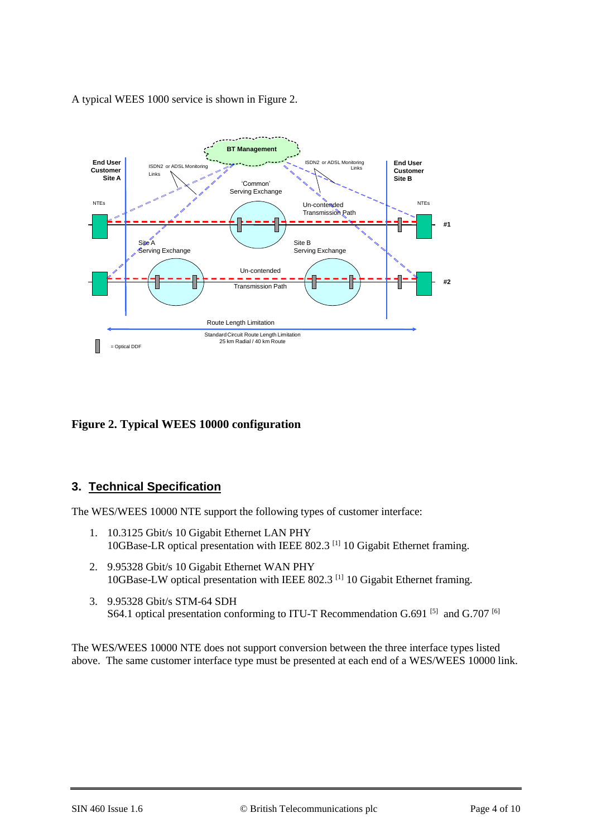A typical WEES 1000 service is shown in [Figure 2.](#page-3-0)



## <span id="page-3-0"></span>**Figure 2. Typical WEES 10000 configuration**

## **3. Technical Specification**

The WES/WEES 10000 NTE support the following types of customer interface:

- 1. 10.3125 Gbit/s 10 Gigabit Ethernet LAN PHY 10GBase-LR optical presentation with IEEE 802.3 [\[1\]](#page-8-0) 10 Gigabit Ethernet framing.
- 2. 9.95328 Gbit/s 10 Gigabit Ethernet WAN PHY 10GBase-LW optical presentation with IEEE 802.3 [\[1\]](#page-8-0) 10 Gigabit Ethernet framing.
- 3. 9.95328 Gbit/s STM-64 SDH S64.1 optical presentation conforming to ITU-T Recommendation G.691  $[5]$  and G.707  $[6]$

The WES/WEES 10000 NTE does not support conversion between the three interface types listed above. The same customer interface type must be presented at each end of a WES/WEES 10000 link.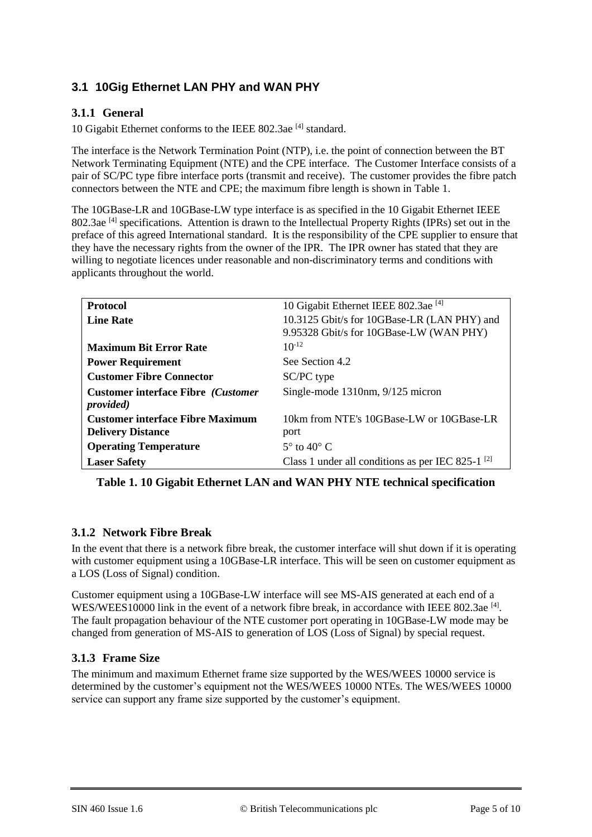# **3.1 10Gig Ethernet LAN PHY and WAN PHY**

### **3.1.1 General**

10 Gigabit Ethernet conforms to the IEEE 802.3ae<sup>[\[4\]](#page-8-3)</sup> standard.

The interface is the Network Termination Point (NTP), i.e. the point of connection between the BT Network Terminating Equipment (NTE) and the CPE interface. The Customer Interface consists of a pair of SC/PC type fibre interface ports (transmit and receive). The customer provides the fibre patch connectors between the NTE and CPE; the maximum fibre length is shown in [Table 1.](#page-4-0)

The 10GBase-LR and 10GBase-LW type interface is as specified in the 10 Gigabit Ethernet IEEE 802.3ae<sup>[\[4\]](#page-8-3)</sup> specifications. Attention is drawn to the Intellectual Property Rights (IPRs) set out in the preface of this agreed International standard. It is the responsibility of the CPE supplier to ensure that they have the necessary rights from the owner of the IPR. The IPR owner has stated that they are willing to negotiate licences under reasonable and non-discriminatory terms and conditions with applicants throughout the world.

| <b>Protocol</b>                                                 | 10 Gigabit Ethernet IEEE 802.3ae <sup>[4]</sup>        |
|-----------------------------------------------------------------|--------------------------------------------------------|
| <b>Line Rate</b>                                                | 10.3125 Gbit/s for 10GBase-LR (LAN PHY) and            |
|                                                                 | 9.95328 Gbit/s for 10GBase-LW (WAN PHY)                |
| <b>Maximum Bit Error Rate</b>                                   | $10^{-12}$                                             |
| <b>Power Requirement</b>                                        | See Section 4.2                                        |
| <b>Customer Fibre Connector</b>                                 | SC/PC type                                             |
| <b>Customer interface Fibre (Customer)</b><br><i>provided</i> ) | Single-mode 1310nm, 9/125 micron                       |
| <b>Customer interface Fibre Maximum</b>                         | 10km from NTE's 10GBase-LW or 10GBase-LR               |
| <b>Delivery Distance</b>                                        |                                                        |
|                                                                 | port                                                   |
| <b>Operating Temperature</b>                                    | $5^\circ$ to $40^\circ$ C                              |
| <b>Laser Safety</b>                                             | Class 1 under all conditions as per IEC 825-1 $^{[2]}$ |

<span id="page-4-0"></span>**Table 1. 10 Gigabit Ethernet LAN and WAN PHY NTE technical specification**

## **3.1.2 Network Fibre Break**

In the event that there is a network fibre break, the customer interface will shut down if it is operating with customer equipment using a 10GBase-LR interface. This will be seen on customer equipment as a LOS (Loss of Signal) condition.

Customer equipment using a 10GBase-LW interface will see MS-AIS generated at each end of a WES/WEES10000 link in the event of a network fibre break, in accordance with IEEE 802.3ae [\[4\]](#page-8-3). The fault propagation behaviour of the NTE customer port operating in 10GBase-LW mode may be changed from generation of MS-AIS to generation of LOS (Loss of Signal) by special request.

#### **3.1.3 Frame Size**

The minimum and maximum Ethernet frame size supported by the WES/WEES 10000 service is determined by the customer's equipment not the WES/WEES 10000 NTEs. The WES/WEES 10000 service can support any frame size supported by the customer's equipment.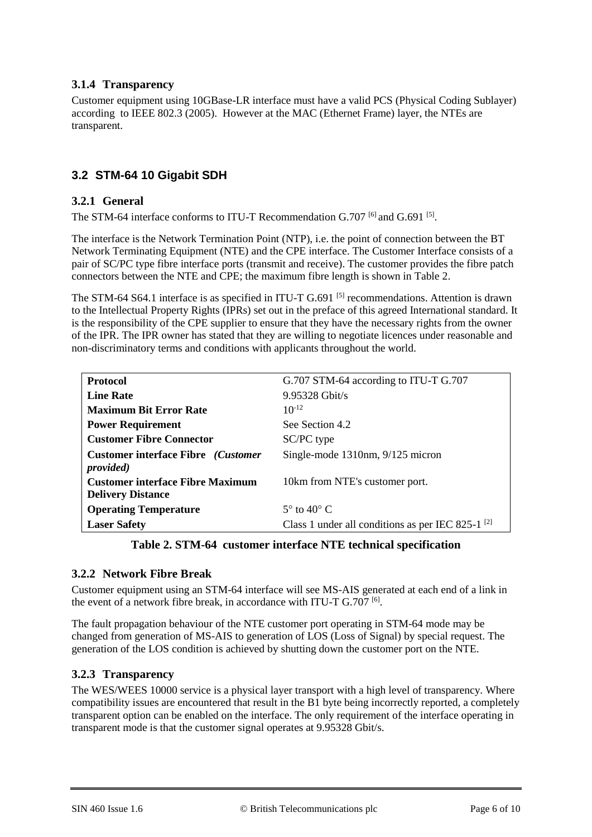## **3.1.4 Transparency**

Customer equipment using 10GBase-LR interface must have a valid PCS (Physical Coding Sublayer) according to IEEE 802.3 (2005). However at the MAC (Ethernet Frame) layer, the NTEs are transparent.

# **3.2 STM-64 10 Gigabit SDH**

### **3.2.1 General**

The STM-64 interface conforms to ITU-T Recommendation G.707 <sup>[6]</sup> and G.691 <sup>[\[5\]](#page-8-1)</sup>.

The interface is the Network Termination Point (NTP), i.e. the point of connection between the BT Network Terminating Equipment (NTE) and the CPE interface. The Customer Interface consists of a pair of SC/PC type fibre interface ports (transmit and receive). The customer provides the fibre patch connectors between the NTE and CPE; the maximum fibre length is shown in [Table 2.](#page-5-0)

The STM-64 S64.1 interface is as specified in ITU-T G.691<sup>[\[5\]](#page-8-1)</sup> recommendations. Attention is drawn to the Intellectual Property Rights (IPRs) set out in the preface of this agreed International standard. It is the responsibility of the CPE supplier to ensure that they have the necessary rights from the owner of the IPR. The IPR owner has stated that they are willing to negotiate licences under reasonable and non-discriminatory terms and conditions with applicants throughout the world.

| <b>Protocol</b>                                                        | G.707 STM-64 according to ITU-T G.707                  |
|------------------------------------------------------------------------|--------------------------------------------------------|
| <b>Line Rate</b>                                                       | 9.95328 Gbit/s                                         |
| <b>Maximum Bit Error Rate</b>                                          | $10^{-12}$                                             |
| <b>Power Requirement</b>                                               | See Section 4.2                                        |
| <b>Customer Fibre Connector</b>                                        | SC/PC type                                             |
| <b>Customer interface Fibre</b> ( <i>Customer</i><br><i>provided</i> ) | Single-mode 1310nm, 9/125 micron                       |
| <b>Customer interface Fibre Maximum</b>                                | 10km from NTE's customer port.                         |
| <b>Delivery Distance</b>                                               |                                                        |
| <b>Operating Temperature</b>                                           | $5^\circ$ to $40^\circ$ C                              |
| <b>Laser Safety</b>                                                    | Class 1 under all conditions as per IEC 825-1 $^{[2]}$ |

#### **Table 2. STM-64 customer interface NTE technical specification**

#### <span id="page-5-0"></span>**3.2.2 Network Fibre Break**

Customer equipment using an STM-64 interface will see MS-AIS generated at each end of a link in the event of a network fibre break, in accordance with ITU-T G.707 <sup>[\[6\]](#page-8-2)</sup>.

The fault propagation behaviour of the NTE customer port operating in STM-64 mode may be changed from generation of MS-AIS to generation of LOS (Loss of Signal) by special request. The generation of the LOS condition is achieved by shutting down the customer port on the NTE.

#### **3.2.3 Transparency**

The WES/WEES 10000 service is a physical layer transport with a high level of transparency. Where compatibility issues are encountered that result in the B1 byte being incorrectly reported, a completely transparent option can be enabled on the interface. The only requirement of the interface operating in transparent mode is that the customer signal operates at 9.95328 Gbit/s.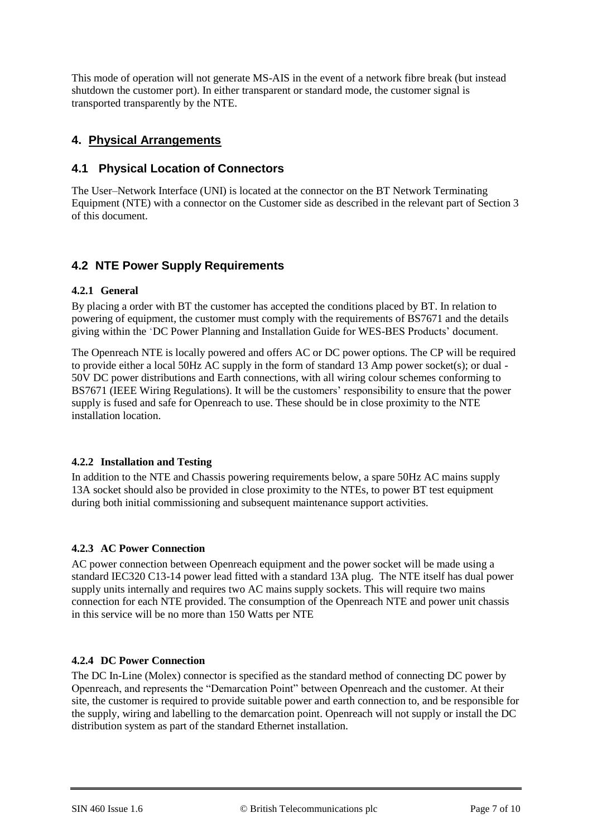This mode of operation will not generate MS-AIS in the event of a network fibre break (but instead shutdown the customer port). In either transparent or standard mode, the customer signal is transported transparently by the NTE.

## **4. Physical Arrangements**

## **4.1 Physical Location of Connectors**

The User–Network Interface (UNI) is located at the connector on the BT Network Terminating Equipment (NTE) with a connector on the Customer side as described in the relevant part of Section 3 of this document.

# **4.2 NTE Power Supply Requirements**

#### **4.2.1 General**

By placing a order with BT the customer has accepted the conditions placed by BT. In relation to powering of equipment, the customer must comply with the requirements of BS7671 and the details giving within the 'DC Power Planning and Installation Guide for WES-BES Products' document.

The Openreach NTE is locally powered and offers AC or DC power options. The CP will be required to provide either a local 50Hz AC supply in the form of standard 13 Amp power socket(s); or dual - 50V DC power distributions and Earth connections, with all wiring colour schemes conforming to BS7671 (IEEE Wiring Regulations). It will be the customers' responsibility to ensure that the power supply is fused and safe for Openreach to use. These should be in close proximity to the NTE installation location.

#### **4.2.2 Installation and Testing**

In addition to the NTE and Chassis powering requirements below, a spare 50Hz AC mains supply 13A socket should also be provided in close proximity to the NTEs, to power BT test equipment during both initial commissioning and subsequent maintenance support activities.

#### **4.2.3 AC Power Connection**

AC power connection between Openreach equipment and the power socket will be made using a standard IEC320 C13-14 power lead fitted with a standard 13A plug. The NTE itself has dual power supply units internally and requires two AC mains supply sockets. This will require two mains connection for each NTE provided. The consumption of the Openreach NTE and power unit chassis in this service will be no more than 150 Watts per NTE

#### **4.2.4 DC Power Connection**

The DC In-Line (Molex) connector is specified as the standard method of connecting DC power by Openreach, and represents the "Demarcation Point" between Openreach and the customer. At their site, the customer is required to provide suitable power and earth connection to, and be responsible for the supply, wiring and labelling to the demarcation point. Openreach will not supply or install the DC distribution system as part of the standard Ethernet installation.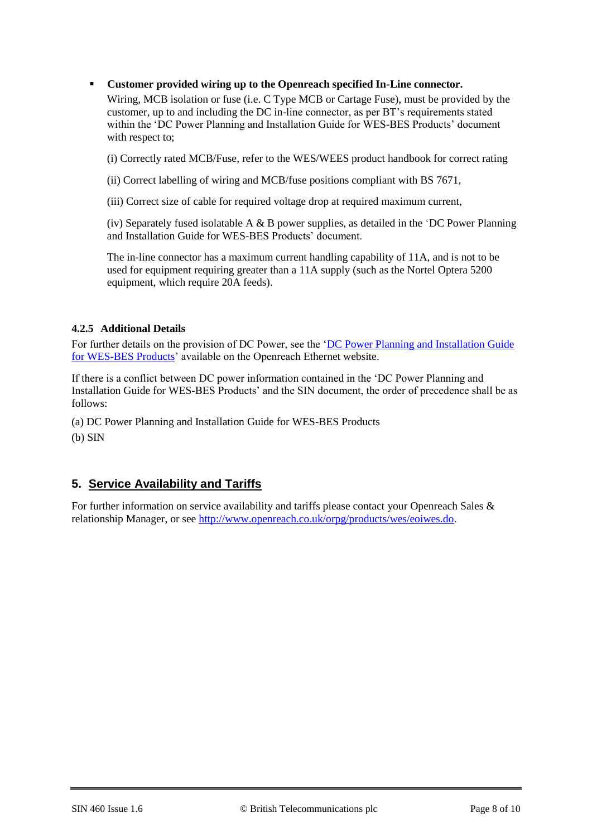**Customer provided wiring up to the Openreach specified In-Line connector.**

Wiring, MCB isolation or fuse (i.e. C Type MCB or Cartage Fuse), must be provided by the customer, up to and including the DC in-line connector, as per BT's requirements stated within the 'DC Power Planning and Installation Guide for WES-BES Products' document with respect to;

(i) Correctly rated MCB/Fuse, refer to the WES/WEES product handbook for correct rating

(ii) Correct labelling of wiring and MCB/fuse positions compliant with BS 7671,

(iii) Correct size of cable for required voltage drop at required maximum current,

(iv) Separately fused isolatable A  $\&$  B power supplies, as detailed in the 'DC Power Planning and Installation Guide for WES-BES Products' document.

The in-line connector has a maximum current handling capability of 11A, and is not to be used for equipment requiring greater than a 11A supply (such as the Nortel Optera 5200 equipment, which require 20A feeds).

#### **4.2.5 Additional Details**

For further details on the provision of DC Power, see the ['DC Power Planning and Installation Guide](https://www.openreach.co.uk/orpg/home/newlogin.do?smauthreason=0&target=http%3A%2F%2Fwww.openreach.co.uk%2Forpg%2Fcustomerzone%2Fproducts%2Fethernetservices%2Fethernetaccessdirect%2Fdescription%2Fsupplementaryinformation%2Fsupplementaryinfo.do&fromMasterHead=1)  [for WES-BES Products'](https://www.openreach.co.uk/orpg/home/newlogin.do?smauthreason=0&target=http%3A%2F%2Fwww.openreach.co.uk%2Forpg%2Fcustomerzone%2Fproducts%2Fethernetservices%2Fethernetaccessdirect%2Fdescription%2Fsupplementaryinformation%2Fsupplementaryinfo.do&fromMasterHead=1) available on the Openreach Ethernet website.

If there is a conflict between DC power information contained in the 'DC Power Planning and Installation Guide for WES-BES Products' and the SIN document, the order of precedence shall be as follows:

(a) DC Power Planning and Installation Guide for WES-BES Products (b) SIN

# **5. Service Availability and Tariffs**

For further information on service availability and tariffs please contact your Openreach Sales & relationship Manager, or see [http://www.openreach.co.uk/orpg/products/wes/eoiwes.do.](http://www.openreach.co.uk/orpg/products/wes/eoiwes.do)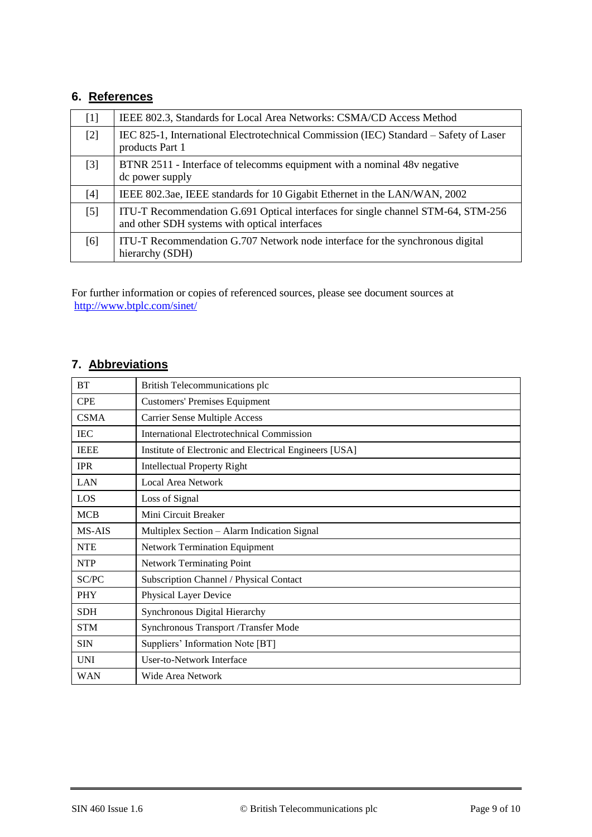# **6. References**

<span id="page-8-4"></span><span id="page-8-3"></span><span id="page-8-0"></span>

| $[1]$ | IEEE 802.3, Standards for Local Area Networks: CSMA/CD Access Method                                                              |  |  |
|-------|-----------------------------------------------------------------------------------------------------------------------------------|--|--|
| $[2]$ | IEC 825-1, International Electrotechnical Commission (IEC) Standard – Safety of Laser<br>products Part 1                          |  |  |
| $[3]$ | BTNR 2511 - Interface of telecomms equipment with a nominal 48v negative<br>dc power supply                                       |  |  |
| [4]   | IEEE 802.3ae, IEEE standards for 10 Gigabit Ethernet in the LAN/WAN, 2002                                                         |  |  |
| [5]   | ITU-T Recommendation G.691 Optical interfaces for single channel STM-64, STM-256<br>and other SDH systems with optical interfaces |  |  |
| [6]   | ITU-T Recommendation G.707 Network node interface for the synchronous digital<br>hierarchy (SDH)                                  |  |  |

<span id="page-8-2"></span><span id="page-8-1"></span>For further information or copies of referenced sources, please see document sources at <http://www.btplc.com/sinet/>

# **7. Abbreviations**

| <b>BT</b><br>British Telecommunications plc        |                                                        |  |
|----------------------------------------------------|--------------------------------------------------------|--|
| <b>CPE</b><br><b>Customers' Premises Equipment</b> |                                                        |  |
| <b>CSMA</b>                                        | <b>Carrier Sense Multiple Access</b>                   |  |
| <b>IEC</b>                                         | International Electrotechnical Commission              |  |
| <b>IEEE</b>                                        | Institute of Electronic and Electrical Engineers [USA] |  |
| <b>IPR</b><br><b>Intellectual Property Right</b>   |                                                        |  |
| LAN                                                | Local Area Network                                     |  |
| LOS<br>Loss of Signal                              |                                                        |  |
| <b>MCB</b>                                         | Mini Circuit Breaker                                   |  |
| MS-AIS                                             | Multiplex Section - Alarm Indication Signal            |  |
| <b>NTE</b>                                         | <b>Network Termination Equipment</b>                   |  |
| <b>NTP</b>                                         | <b>Network Terminating Point</b>                       |  |
| SC/PC                                              | Subscription Channel / Physical Contact                |  |
| <b>PHY</b>                                         | Physical Layer Device                                  |  |
| <b>SDH</b>                                         | Synchronous Digital Hierarchy                          |  |
| <b>STM</b>                                         | Synchronous Transport /Transfer Mode                   |  |
| Suppliers' Information Note [BT]<br><b>SIN</b>     |                                                        |  |
| <b>User-to-Network Interface</b><br><b>UNI</b>     |                                                        |  |
| <b>WAN</b><br>Wide Area Network                    |                                                        |  |
|                                                    |                                                        |  |